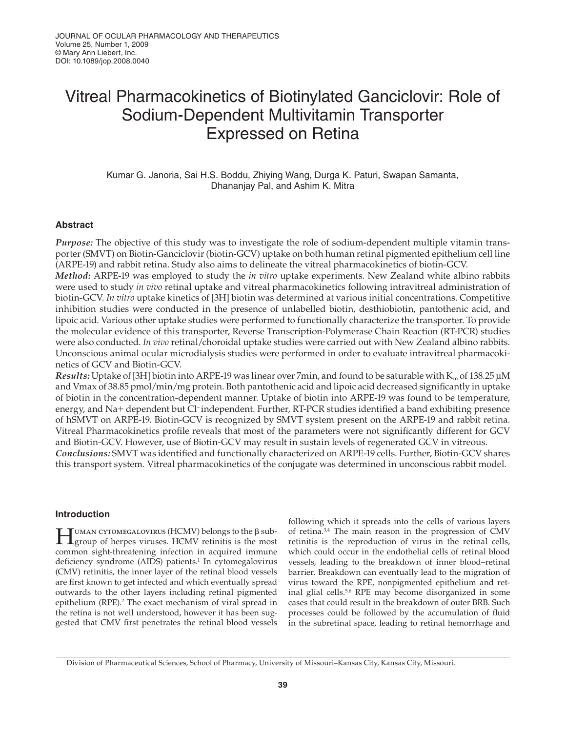# Vitreal Pharmacokinetics of Biotinylated Ganciclovir: Role of Sodium-Dependent Multivitamin Transporter Expressed on Retina

Kumar G. Janoria, Sai H.S. Boddu, Zhiying Wang, Durga K. Paturi, Swapan Samanta, Dhananjay Pal, and Ashim K. Mitra

# **Abstract**

*Purpose:* The objective of this study was to investigate the role of sodium-dependent multiple vitamin transporter (SMVT) on Biotin-Ganciclovir (biotin-GCV) uptake on both human retinal pigmented epithelium cell line (ARPE-19) and rabbit retina. Study also aims to delineate the vitreal pharmacokinetics of biotin-GCV.

*Method:* ARPE-19 was employed to study the *in vitro* uptake experiments. New Zealand white albino rabbits were used to study *in vivo* retinal uptake and vitreal pharmacokinetics following intravitreal administration of biotin-GCV. *In vitro* uptake kinetics of [3H] biotin was determined at various initial concentrations. Competitive inhibition studies were conducted in the presence of unlabelled biotin, desthiobiotin, pantothenic acid, and lipoic acid. Various other uptake studies were performed to functionally characterize the transporter. To provide the molecular evidence of this transporter, Reverse Transcription-Polymerase Chain Reaction (RT-PCR) studies were also conducted. *In vivo* retinal/choroidal uptake studies were carried out with New Zealand albino rabbits. Unconscious animal ocular microdialysis studies were performed in order to evaluate intravitreal pharmacokinetics of GCV and Biotin-GCV.

*Results:* Uptake of [3H] biotin into ARPE-19 was linear over 7min, and found to be saturable with K<sub>m</sub> of 138.25 μM and Vmax of 38.85 pmol/min/mg protein. Both pantothenic acid and lipoic acid decreased significantly in uptake of biotin in the concentration-dependent manner. Uptake of biotin into ARPE-19 was found to be temperature, energy, and Na+ dependent but Cl–independent. Further, RT-PCR studies identified a band exhibiting presence of hSMVT on ARPE-19. Biotin-GCV is recognized by SMVT system present on the ARPE-19 and rabbit retina. Vitreal Pharmacokinetics profile reveals that most of the parameters were not significantly different for GCV and Biotin-GCV. However, use of Biotin-GCV may result in sustain levels of regenerated GCV in vitreous. *Conclusions:* SMVT was identified and functionally characterized on ARPE-19 cells. Further, Biotin-GCV shares this transport system. Vitreal pharmacokinetics of the conjugate was determined in unconscious rabbit model.

## **Introduction**

H UMAN CYTOMEGALOVIRUS (HCMV) belongs to the β sub-<br>group of herpes viruses. HCMV retinitis is the most uman cytomegalovirus (HCMV) belongs to the β subcommon sight-threatening infection in acquired immune deficiency syndrome (AIDS) patients.<sup>1</sup> In cytomegalovirus (CMV) retinitis, the inner layer of the retinal blood vessels are first known to get infected and which eventually spread outwards to the other layers including retinal pigmented epithelium (RPE).<sup>2</sup> The exact mechanism of viral spread in the retina is not well understood, however it has been suggested that CMV first penetrates the retinal blood vessels

following which it spreads into the cells of various layers of retina.3,4 The main reason in the progression of CMV retinitis is the reproduction of virus in the retinal cells, which could occur in the endothelial cells of retinal blood vessels, leading to the breakdown of inner blood–retinal barrier. Breakdown can eventually lead to the migration of virus toward the RPE, nonpigmented epithelium and retinal glial cells.5,6 RPE may become disorganized in some cases that could result in the breakdown of outer BRB. Such processes could be followed by the accumulation of fluid in the subretinal space, leading to retinal hemorrhage and

Division of Pharmaceutical Sciences, School of Pharmacy, University of Missouri–Kansas City, Kansas City, Missouri.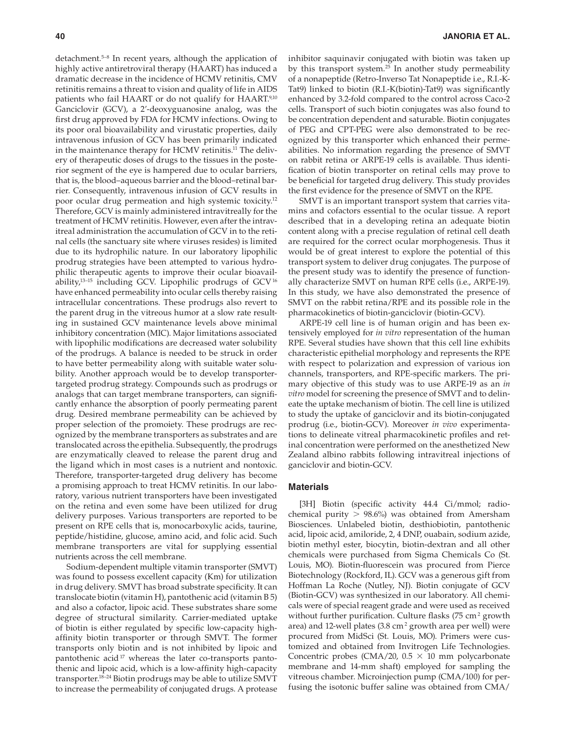detachment.5–8 In recent years, although the application of highly active antiretroviral therapy (HAART) has induced a dramatic decrease in the incidence of HCMV retinitis, CMV retinitis remains a threat to vision and quality of life in AIDS patients who fail HAART or do not qualify for HAART.9,10 Ganciclovir (GCV), a 2′-deoxyguanosine analog, was the first drug approved by FDA for HCMV infections. Owing to its poor oral bioavailability and virustatic properties, daily intravenous infusion of GCV has been primarily indicated in the maintenance therapy for HCMV retinitis.<sup>11</sup> The delivery of therapeutic doses of drugs to the tissues in the posterior segment of the eye is hampered due to ocular barriers, that is, the blood–aqueous barrier and the blood–retinal barrier. Consequently, intravenous infusion of GCV results in poor ocular drug permeation and high systemic toxicity.<sup>12</sup> Therefore, GCV is mainly administered intravitreally for the treatment of HCMV retinitis. However, even after the intravitreal administration the accumulation of GCV in to the retinal cells (the sanctuary site where viruses resides) is limited due to its hydrophilic nature. In our laboratory lipophilic prodrug strategies have been attempted to various hydrophilic therapeutic agents to improve their ocular bioavailability,<sup>13-15</sup> including GCV. Lipophilic prodrugs of GCV<sup>16</sup> have enhanced permeability into ocular cells thereby raising intracellular concentrations. These prodrugs also revert to the parent drug in the vitreous humor at a slow rate resulting in sustained GCV maintenance levels above minimal inhibitory concentration (MIC). Major limitations associated with lipophilic modifications are decreased water solubility of the prodrugs. A balance is needed to be struck in order to have better permeability along with suitable water solubility. Another approach would be to develop transportertargeted prodrug strategy. Compounds such as prodrugs or analogs that can target membrane transporters, can significantly enhance the absorption of poorly permeating parent drug. Desired membrane permeability can be achieved by proper selection of the promoiety. These prodrugs are recognized by the membrane transporters as substrates and are translocated across the epithelia. Subsequently, the prodrugs are enzymatically cleaved to release the parent drug and the ligand which in most cases is a nutrient and nontoxic. Therefore, transporter-targeted drug delivery has become a promising approach to treat HCMV retinitis. In our laboratory, various nutrient transporters have been investigated on the retina and even some have been utilized for drug delivery purposes. Various transporters are reported to be present on RPE cells that is, monocarboxylic acids, taurine, peptide/histidine, glucose, amino acid, and folic acid. Such membrane transporters are vital for supplying essential nutrients across the cell membrane.

Sodium-dependent multiple vitamin transporter (SMVT) was found to possess excellent capacity (Km) for utilization in drug delivery. SMVT has broad substrate specificity. It can translocate biotin (vitamin H), pantothenic acid (vitamin B 5) and also a cofactor, lipoic acid. These substrates share some degree of structural similarity. Carrier-mediated uptake of biotin is either regulated by specific low-capacity highaffinity biotin transporter or through SMVT. The former transports only biotin and is not inhibited by lipoic and pantothenic acid 17 whereas the later co-transports pantothenic and lipoic acid, which is a low-affinity high-capacity transporter.18–24 Biotin prodrugs may be able to utilize SMVT to increase the permeability of conjugated drugs. A protease inhibitor saquinavir conjugated with biotin was taken up by this transport system.<sup>25</sup> In another study permeability of a nonapeptide (Retro-Inverso Tat Nonapeptide i.e., R.I.-K-Tat9) linked to biotin (R.I.-K(biotin)-Tat9) was significantly enhanced by 3.2-fold compared to the control across Caco-2 cells. Transport of such biotin conjugates was also found to be concentration dependent and saturable. Biotin conjugates of PEG and CPT-PEG were also demonstrated to be recognized by this transporter which enhanced their permeabilities. No information regarding the presence of SMVT on rabbit retina or ARPE-19 cells is available. Thus identification of biotin transporter on retinal cells may prove to be beneficial for targeted drug delivery. This study provides the first evidence for the presence of SMVT on the RPE.

SMVT is an important transport system that carries vitamins and cofactors essential to the ocular tissue. A report described that in a developing retina an adequate biotin content along with a precise regulation of retinal cell death are required for the correct ocular morphogenesis. Thus it would be of great interest to explore the potential of this transport system to deliver drug conjugates. The purpose of the present study was to identify the presence of functionally characterize SMVT on human RPE cells (i.e., ARPE-19). In this study, we have also demonstrated the presence of SMVT on the rabbit retina/RPE and its possible role in the pharmacokinetics of biotin-ganciclovir (biotin-GCV).

ARPE-19 cell line is of human origin and has been extensively employed for *in vitro* representation of the human RPE. Several studies have shown that this cell line exhibits characteristic epithelial morphology and represents the RPE with respect to polarization and expression of various ion channels, transporters, and RPE-specific markers. The primary objective of this study was to use ARPE-19 as an *in vitro* model for screening the presence of SMVT and to delineate the uptake mechanism of biotin. The cell line is utilized to study the uptake of ganciclovir and its biotin-conjugated prodrug (i.e., biotin-GCV). Moreover *in vivo* experimentations to delineate vitreal pharmacokinetic profiles and retinal concentration were performed on the anesthetized New Zealand albino rabbits following intravitreal injections of ganciclovir and biotin-GCV.

### **Materials**

[3H] Biotin (specific activity 44.4 Ci/mmol; radiochemical purity  $> 98.6\%$ ) was obtained from Amersham Biosciences. Unlabeled biotin, desthiobiotin, pantothenic acid, lipoic acid, amiloride, 2, 4 DNP, ouabain, sodium azide, biotin methyl ester, biocytin, biotin-dextran and all other chemicals were purchased from Sigma Chemicals Co (St. Louis, MO). Biotin-fluorescein was procured from Pierce Biotechnology (Rockford, IL). GCV was a generous gift from Hoffman La Roche (Nutley, NJ). Biotin conjugate of GCV (Biotin-GCV) was synthesized in our laboratory. All chemicals were of special reagent grade and were used as received without further purification. Culture flasks ( $75 \text{ cm}^2$  growth area) and 12-well plates (3.8  $cm<sup>2</sup>$  growth area per well) were procured from MidSci (St. Louis, MO). Primers were customized and obtained from Invitrogen Life Technologies. Concentric probes (CMA/20,  $0.5 \times 10$  mm polycarbonate membrane and 14-mm shaft) employed for sampling the vitreous chamber. Microinjection pump (CMA/100) for perfusing the isotonic buffer saline was obtained from CMA/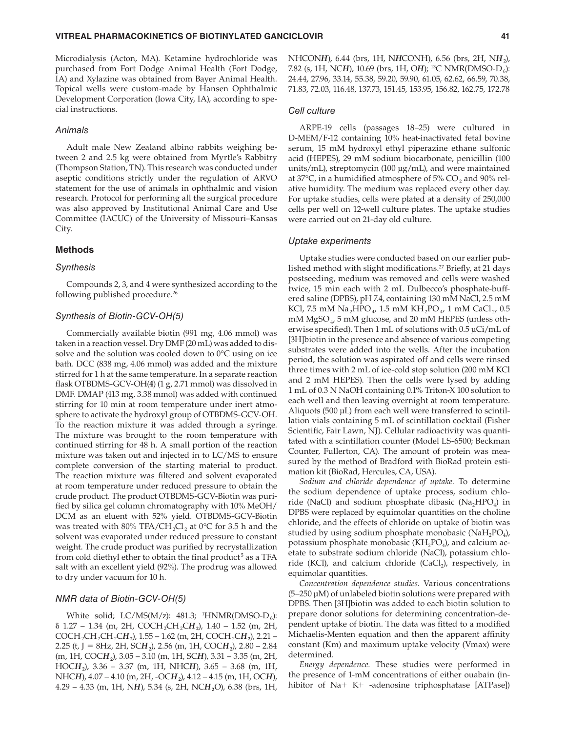Microdialysis (Acton, MA). Ketamine hydrochloride was purchased from Fort Dodge Animal Health (Fort Dodge, IA) and Xylazine was obtained from Bayer Animal Health. Topical wells were custom-made by Hansen Ophthalmic Development Corporation (Iowa City, IA), according to special instructions.

## Animals

Adult male New Zealand albino rabbits weighing between 2 and 2.5 kg were obtained from Myrtle's Rabbitry (Thompson Station, TN). This research was conducted under aseptic conditions strictly under the regulation of ARVO statement for the use of animals in ophthalmic and vision research. Protocol for performing all the surgical procedure was also approved by Institutional Animal Care and Use Committee (IACUC) of the University of Missouri–Kansas City.

## **Methods**

#### Synthesis

Compounds 2, 3, and 4 were synthesized according to the following published procedure.<sup>26</sup>

## Synthesis of Biotin-GCV-OH(5)

Commercially available biotin (991 mg, 4.06 mmol) was taken in a reaction vessel. Dry DMF (20 mL) was added to dissolve and the solution was cooled down to 0°C using on ice bath. DCC (838 mg, 4.06 mmol) was added and the mixture stirred for 1 h at the same temperature. In a separate reaction flask OTBDMS-GCV-OH(4) (1 g, 2.71 mmol) was dissolved in DMF. DMAP (413 mg, 3.38 mmol) was added with continued stirring for 10 min at room temperature under inert atmosphere to activate the hydroxyl group of OTBDMS-GCV-OH. To the reaction mixture it was added through a syringe. The mixture was brought to the room temperature with continued stirring for 48 h. A small portion of the reaction mixture was taken out and injected in to LC/MS to ensure complete conversion of the starting material to product. The reaction mixture was filtered and solvent evaporated at room temperature under reduced pressure to obtain the crude product. The product OTBDMS-GCV-Biotin was purified by silica gel column chromatography with 10% MeOH/ DCM as an eluent with 52% yield. OTBDMS-GCV-Biotin was treated with 80% TFA/CH<sub>2</sub>Cl<sub>2</sub> at 0°C for 3.5 h and the solvent was evaporated under reduced pressure to constant weight. The crude product was purified by recrystallization from cold diethyl ether to obtain the final product $^5$  as a TFA salt with an excellent yield (92%). The prodrug was allowed to dry under vacuum for 10 h.

### NMR data of Biotin-GCV-OH(5)

White solid;  $LC/MS(M/z)$ : 481.3; <sup>1</sup>HNMR(DMSO-D<sub>6</sub>): δ 1.27 – 1.34 (m, 2H, COCH 2CH 2C*H* **<sup>2</sup>** ), 1.40 – 1.52 (m, 2H, COCH 2CH 2CH 2C*H* **<sup>2</sup>** ), 1.55 – 1.62 (m, 2H, COCH 2C*H* **<sup>2</sup>** ), 2.21 – 2.25 (t, J = 8Hz, 2H, SC*H* **<sup>2</sup>** ), 2.56 (m, 1H, COC*H* **<sup>2</sup>** ), 2.80 – 2.84 (m, 1H, COC*H* **<sup>2</sup>** ), 3.05 – 3.10 (m, 1H, SC*H*), 3.31 – 3.35 (m, 2H, HOC*H* **<sup>2</sup>** ), 3.36 – 3.37 (m, 1H, NHC*H*), 3.65 – 3.68 (m, 1H, NHC*H*), 4.07 – 4.10 (m, 2H, -OC*H* **<sup>2</sup>** ), 4.12 – 4.15 (m, 1H, OC*H*), 4.29 – 4.33 (m, 1H, N*H*), 5.34 (s, 2H, NC*H* **2**O), 6.38 (brs, 1H,

NHCON*H*), 6.44 (brs, 1H, N*H*CONH), 6.56 (brs, 2H, N*H* **<sup>2</sup>** ), 7.82 (s, 1H, NC*H*), 10.69 (brs, 1H, O*H*); <sup>13</sup>C NMR(DMSO-D<sub>6</sub>): 24.44, 27.96, 33.14, 55.38, 59.20, 59.90, 61.05, 62.62, 66.59, 70.38, 71.83, 72.03, 116.48, 137.73, 151.45, 153.95, 156.82, 162.75, 172.78

#### Cell culture

ARPE-19 cells (passages 18–25) were cultured in D-MEM/F-12 containing 10% heat-inactivated fetal bovine serum, 15 mM hydroxyl ethyl piperazine ethane sulfonic acid (HEPES), 29 mM sodium biocarbonate, penicillin (100 units/mL), streptomycin (100 μg/mL), and were maintained at 37°C, in a humidified atmosphere of 5% CO<sub>2</sub> and 90% relative humidity. The medium was replaced every other day. For uptake studies, cells were plated at a density of 250,000 cells per well on 12-well culture plates. The uptake studies were carried out on 21-day old culture.

#### Uptake experiments

Uptake studies were conducted based on our earlier published method with slight modifications.<sup>27</sup> Briefly, at 21 days postseeding, medium was removed and cells were washed twice, 15 min each with 2 mL Dulbecco's phosphate-buffered saline (DPBS), pH 7.4, containing 130 mM NaCl, 2.5 mM KCl, 7.5 mM  $\rm Na_{2}HPO_{4}$ , 1.5 mM  $\rm KH_{2}PO_{4}$ , 1 mM  $\rm CaCl_{2}$ , 0.5 mM MgSO <sup>4</sup> , 5 mM glucose, and 20 mM HEPES (unless otherwise specified). Then 1 mL of solutions with  $0.5 \mu$ Ci/mL of [3H]biotin in the presence and absence of various competing substrates were added into the wells. After the incubation period, the solution was aspirated off and cells were rinsed three times with 2 mL of ice-cold stop solution (200 mM KCl and 2 mM HEPES). Then the cells were lysed by adding 1 mL of 0.3 N NaOH containing 0.1% Triton-X 100 solution to each well and then leaving overnight at room temperature. Aliquots (500 μL) from each well were transferred to scintillation vials containing 5 mL of scintillation cocktail (Fisher Scientific, Fair Lawn, NJ). Cellular radioactivity was quantitated with a scintillation counter (Model LS-6500; Beckman Counter, Fullerton, CA). The amount of protein was measured by the method of Bradford with BioRad protein estimation kit (BioRad, Hercules, CA, USA).

*Sodium and chloride dependence of uptake.* To determine the sodium dependence of uptake process, sodium chloride (NaCl) and sodium phosphate dibasic (Na<sub>2</sub>HPO<sub>4</sub>) in DPBS were replaced by equimolar quantities on the choline chloride, and the effects of chloride on uptake of biotin was studied by using sodium phosphate monobasic (Na $\text{H}_{2}\text{PO}_{4}$ ), potassium phosphate monobasic (KH $_2$ PO $_4$ ), and calcium acetate to substrate sodium chloride (NaCl), potassium chloride (KCl), and calcium chloride (CaCl<sub>2</sub>), respectively, in equimolar quantities.

*Concentration dependence studies.* Various concentrations (5–250 μM) of unlabeled biotin solutions were prepared with DPBS. Then [3H]biotin was added to each biotin solution to prepare donor solutions for determining concentration-dependent uptake of biotin. The data was fitted to a modified Michaelis-Menten equation and then the apparent affinity constant (Km) and maximum uptake velocity (Vmax) were determined.

*Energy dependence.* These studies were performed in the presence of 1-mM concentrations of either ouabain (inhibitor of Na+ K+ -adenosine triphosphatase [ATPase])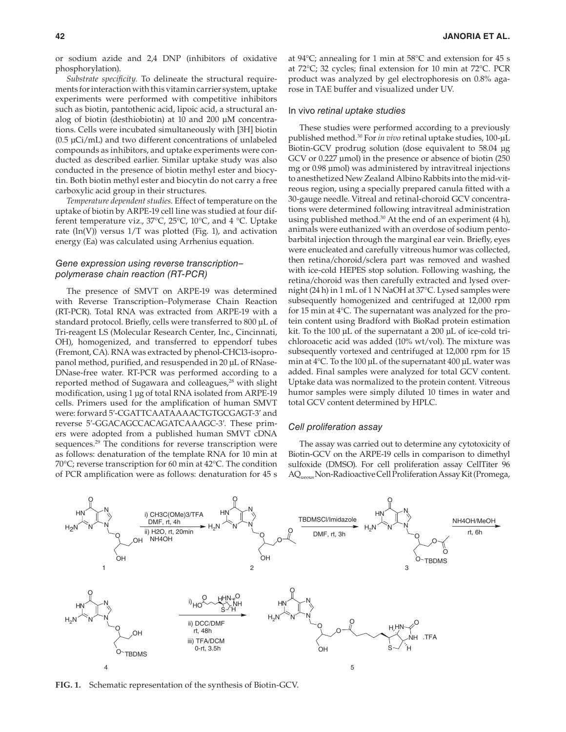or sodium azide and 2,4 DNP (inhibitors of oxidative phosphorylation).

*Substrate specificity*. To delineate the structural requirements for interaction with this vitamin carrier system, uptake experiments were performed with competitive inhibitors such as biotin, pantothenic acid, lipoic acid, a structural analog of biotin (desthiobiotin) at 10 and 200 μM concentrations. Cells were incubated simultaneously with [3H] biotin  $(0.5 \mu\text{Ci/mL})$  and two different concentrations of unlabeled compounds as inhibitors, and uptake experiments were conducted as described earlier. Similar uptake study was also conducted in the presence of biotin methyl ester and biocytin. Both biotin methyl ester and biocytin do not carry a free carboxylic acid group in their structures.

*Temperature dependent studies.* Effect of temperature on the uptake of biotin by ARPE-19 cell line was studied at four different temperature viz., 37°C, 25°C, 10°C, and 4 °C. Uptake rate ( $ln(V)$ ) versus  $1/T$  was plotted (Fig. 1), and activation energy (Ea) was calculated using Arrhenius equation.

# Gene expression using reverse transcription– polymerase chain reaction (RT-PCR)

The presence of SMVT on ARPE-19 was determined with Reverse Transcription–Polymerase Chain Reaction (RT-PCR). Total RNA was extracted from ARPE-19 with a standard protocol. Briefly, cells were transferred to 800 μL of Tri-reagent LS (Molecular Research Center, Inc., Cincinnati, OH), homogenized, and transferred to eppendorf tubes (Fremont, CA). RNA was extracted by phenol-CHCl3-isopropanol method, purified, and resuspended in 20 μL of RNase-DNase-free water. RT-PCR was performed according to a reported method of Sugawara and colleagues,<sup>28</sup> with slight modification, using 1 μg of total RNA isolated from ARPE-19 cells. Primers used for the amplification of human SMVT were: forward 5′-CGATTCAATAAAACTGTGCGAGT-3′ and reverse 5′-GGACAGCCACAGATCAAAGC-3′. These primers were adopted from a published human SMVT cDNA sequences.<sup>29</sup> The conditions for reverse transcription were as follows: denaturation of the template RNA for 10 min at 70°C; reverse transcription for 60 min at 42°C. The condition of PCR amplification were as follows: denaturation for 45 s

at 94°C; annealing for 1 min at 58°C and extension for 45 s at  $72^{\circ}$ C; 32 cycles; final extension for 10 min at  $72^{\circ}$ C. PCR product was analyzed by gel electrophoresis on 0.8% agarose in TAE buffer and visualized under UV.

#### In vivo retinal uptake studies

These studies were performed according to a previously published method.<sup>30</sup> For *in vivo* retinal uptake studies, 100-μL Biotin-GCV prodrug solution (dose equivalent to 58.04 μg GCV or 0.227 μmol) in the presence or absence of biotin (250 mg or 0.98 μmol) was administered by intravitreal injections to anesthetized New Zealand Albino Rabbits into the mid-vitreous region, using a specially prepared canula fitted with a 30-gauge needle. Vitreal and retinal-choroid GCV concentrations were determined following intravitreal administration using published method.<sup>30</sup> At the end of an experiment  $(4 h)$ , animals were euthanized with an overdose of sodium pentobarbital injection through the marginal ear vein. Briefly, eyes were enucleated and carefully vitreous humor was collected, then retina/choroid/sclera part was removed and washed with ice-cold HEPES stop solution. Following washing, the retina/choroid was then carefully extracted and lysed overnight (24 h) in 1 mL of 1 N NaOH at 37°C. Lysed samples were subsequently homogenized and centrifuged at 12,000 rpm for 15 min at 4°C. The supernatant was analyzed for the protein content using Bradford with BioRad protein estimation kit. To the 100 μL of the supernatant a 200 μL of ice-cold trichloroacetic acid was added (10% wt/vol). The mixture was subsequently vortexed and centrifuged at 12,000 rpm for 15 min at 4°C. To the 100 μL of the supernatant 400 μL water was added. Final samples were analyzed for total GCV content. Uptake data was normalized to the protein content. Vitreous humor samples were simply diluted 10 times in water and total GCV content determined by HPLC.

## Cell proliferation assay

The assay was carried out to determine any cytotoxicity of Biotin-GCV on the ARPE-19 cells in comparison to dimethyl sulfoxide (DMSO). For cell proliferation assay CellTiter 96 AQueous Non-Radioactive Cell Proliferation Assay Kit (Promega,



**FIG. 1.** Schematic representation of the synthesis of Biotin-GCV.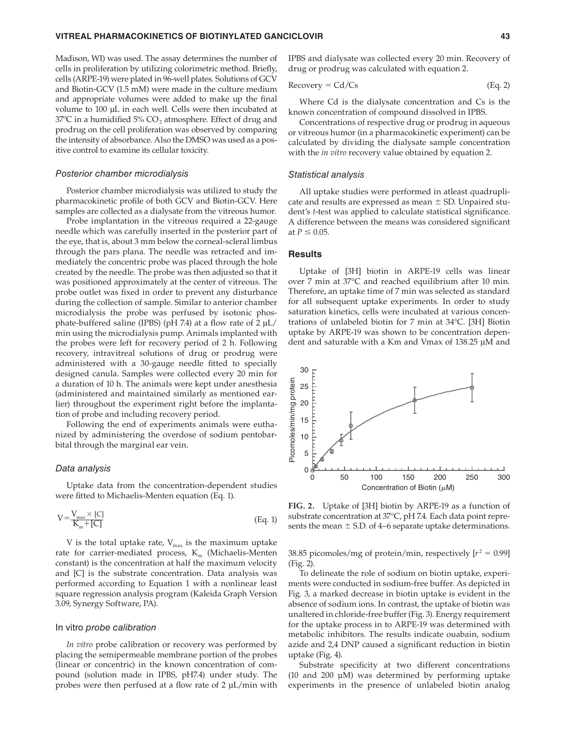Madison, WI) was used. The assay determines the number of cells in proliferation by utilizing colorimetric method. Briefly, cells (ARPE-19) were plated in 96-well plates. Solutions of GCV and Biotin-GCV (1.5 mM) were made in the culture medium and appropriate volumes were added to make up the final volume to 100 μL in each well. Cells were then incubated at 37°C in a humidified 5% CO<sub>2</sub> atmosphere. Effect of drug and prodrug on the cell proliferation was observed by comparing the intensity of absorbance. Also the DMSO was used as a positive control to examine its cellular toxicity.

## Posterior chamber microdialysis

Posterior chamber microdialysis was utilized to study the pharmacokinetic profile of both GCV and Biotin-GCV. Here samples are collected as a dialysate from the vitreous humor.

Probe implantation in the vitreous required a 22-gauge needle which was carefully inserted in the posterior part of the eye, that is, about 3 mm below the corneal-scleral limbus through the pars plana. The needle was retracted and immediately the concentric probe was placed through the hole created by the needle. The probe was then adjusted so that it was positioned approximately at the center of vitreous. The probe outlet was fixed in order to prevent any disturbance during the collection of sample. Similar to anterior chamber microdialysis the probe was perfused by isotonic phosphate-buffered saline (IPBS) (pH 7.4) at a flow rate of  $2 \mu L$ / min using the microdialysis pump. Animals implanted with the probes were left for recovery period of 2 h. Following recovery, intravitreal solutions of drug or prodrug were administered with a 30-gauge needle fitted to specially designed canula. Samples were collected every 20 min for a duration of 10 h. The animals were kept under anesthesia (administered and maintained similarly as mentioned earlier) throughout the experiment right before the implantation of probe and including recovery period.

Following the end of experiments animals were euthanized by administering the overdose of sodium pentobarbital through the marginal ear vein.

#### Data analysis

Uptake data from the concentration-dependent studies were fitted to Michaelis-Menten equation (Eq. 1).

$$
V = \frac{V_{\text{max}} \times [C]}{K_{\text{m}} + [C]}
$$
(Eq. 1)

V is the total uptake rate,  $V_{\text{max}}$  is the maximum uptake rate for carrier-mediated process,  $K_m$  (Michaelis-Menten constant) is the concentration at half the maximum velocity and [C] is the substrate concentration. Data analysis was performed according to Equation 1 with a nonlinear least square regression analysis program (Kaleida Graph Version 3.09, Synergy Software, PA).

#### In vitro probe calibration

*In vitro* probe calibration or recovery was performed by placing the semipermeable membrane portion of the probes (linear or concentric) in the known concentration of compound (solution made in IPBS, pH7.4) under study. The probes were then perfused at a flow rate of  $2 \mu L/min$  with IPBS and dialysate was collected every 20 min. Recovery of drug or prodrug was calculated with equation 2.

$$
Recovery = Cd/Cs
$$
 (Eq. 2)

Where Cd is the dialysate concentration and Cs is the known concentration of compound dissolved in IPBS.

Concentrations of respective drug or prodrug in aqueous or vitreous humor (in a pharmacokinetic experiment) can be calculated by dividing the dialysate sample concentration with the *in vitro* recovery value obtained by equation 2.

#### Statistical analysis

All uptake studies were performed in atleast quadruplicate and results are expressed as mean  $\pm$  SD. Unpaired student's *t*-test was applied to calculate statistical significance. A difference between the means was considered significant at  $P \le 0.05$ .

### **Results**

Uptake of [3H] biotin in ARPE-19 cells was linear over 7 min at 37°C and reached equilibrium after 10 min. Therefore, an uptake time of 7 min was selected as standard for all subsequent uptake experiments. In order to study saturation kinetics, cells were incubated at various concentrations of unlabeled biotin for 7 min at 34°C. [3H] Biotin uptake by ARPE-19 was shown to be concentration dependent and saturable with a Km and Vmax of 138.25 μM and



**FIG. 2.** Uptake of [3H] biotin by ARPE-19 as a function of substrate concentration at 37°C, pH 7.4. Each data point represents the mean  $\pm$  S.D. of 4–6 separate uptake determinations.

38.85 picomoles/mg of protein/min, respectively  $[r^2 = 0.99]$ (Fig. 2).

To delineate the role of sodium on biotin uptake, experiments were conducted in sodium-free buffer. As depicted in Fig. 3, a marked decrease in biotin uptake is evident in the absence of sodium ions. In contrast, the uptake of biotin was unaltered in chloride-free buffer (Fig. 3). Energy requirement for the uptake process in to ARPE-19 was determined with metabolic inhibitors. The results indicate ouabain, sodium azide and 2,4 DNP caused a significant reduction in biotin uptake (Fig. 4).

Substrate specificity at two different concentrations (10 and 200 μM) was determined by performing uptake experiments in the presence of unlabeled biotin analog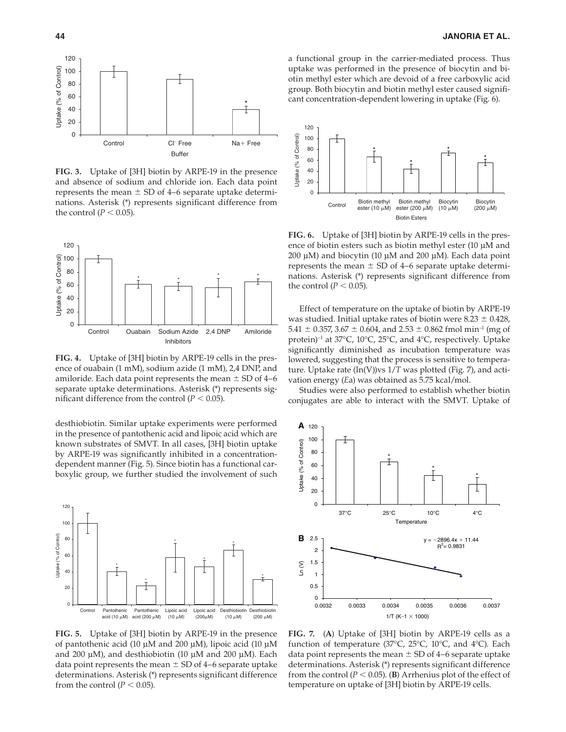

**FIG. 3.** Uptake of [3H] biotin by ARPE-19 in the presence and absence of sodium and chloride ion. Each data point represents the mean  $\pm$  SD of 4–6 separate uptake determinations. Asterisk (\*) represents significant difference from the control ( $P < 0.05$ ).



**FIG. 4.** Uptake of [3H] biotin by ARPE-19 cells in the presence of ouabain (1 mM), sodium azide (1 mM), 2,4 DNP, and amiloride. Each data point represents the mean  $\pm$  SD of 4–6 separate uptake determinations. Asterisk (\*) represents significant difference from the control ( $P < 0.05$ ).

desthiobiotin. Similar uptake experiments were performed in the presence of pantothenic acid and lipoic acid which are known substrates of SMVT. In all cases, [3H] biotin uptake by ARPE-19 was significantly inhibited in a concentrationdependent manner (Fig. 5). Since biotin has a functional carboxylic group, we further studied the involvement of such



**FIG. 5.** Uptake of [3H] biotin by ARPE-19 in the presence of pantothenic acid (10 μM and 200 μM), lipoic acid (10 μM and 200 μM), and desthiobiotin (10 μM and 200 μM). Each data point represents the mean  $\pm$  SD of 4–6 separate uptake determinations. Asterisk (\*) represents significant difference from the control ( $P < 0.05$ ).

a functional group in the carrier-mediated process. Thus uptake was performed in the presence of biocytin and biotin methyl ester which are devoid of a free carboxylic acid group. Both biocytin and biotin methyl ester caused significant concentration-dependent lowering in uptake (Fig. 6).



**FIG. 6.** Uptake of [3H] biotin by ARPE-19 cells in the presence of biotin esters such as biotin methyl ester (10 μM and 200 μM) and biocytin (10 μM and 200 μM). Each data point represents the mean  $\pm$  SD of 4–6 separate uptake determinations. Asterisk (\*) represents significant difference from the control ( $P < 0.05$ ).

Effect of temperature on the uptake of biotin by ARPE-19 was studied. Initial uptake rates of biotin were  $8.23 \pm 0.428$ ,  $5.41 \pm 0.357$ ,  $3.67 \pm 0.604$ , and  $2.53 \pm 0.862$  fmol min<sup>-1</sup> (mg of protein)–1 at 37°C, 10°C, 25°C, and 4°C, respectively. Uptake significantly diminished as incubation temperature was lowered, suggesting that the process is sensitive to temperature. Uptake rate (ln(V))vs 1/*T* was plotted (Fig. 7), and activation energy (*E*a) was obtained as 5.75 kcal/mol.

Studies were also performed to establish whether biotin conjugates are able to interact with the SMVT. Uptake of



**FIG. 7.** (**A**) Uptake of [3H] biotin by ARPE-19 cells as a function of temperature (37°C, 25°C, 10°C, and 4°C). Each data point represents the mean  $\pm$  SD of 4–6 separate uptake determinations. Asterisk (\*) represents significant difference from the control ( $P < 0.05$ ). (**B**) Arrhenius plot of the effect of temperature on uptake of [3H] biotin by ARPE-19 cells.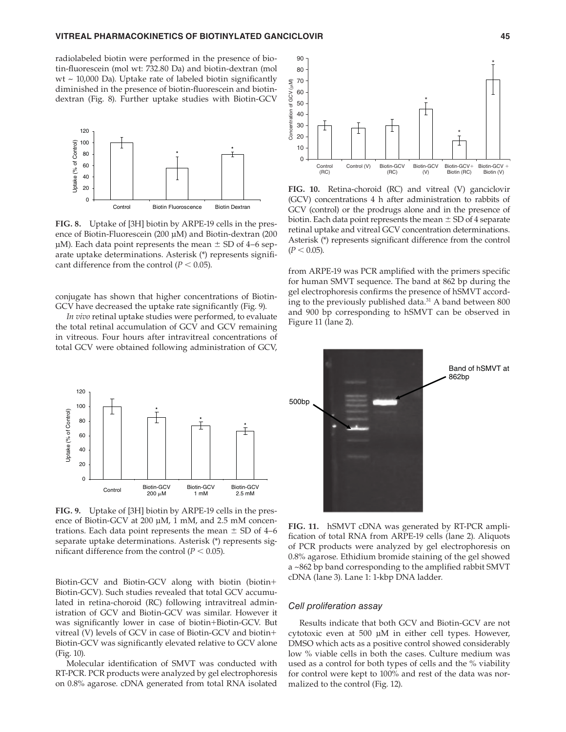radiolabeled biotin were performed in the presence of biotin-fluorescein (mol wt: 732.80 Da) and biotin-dextran (mol  $wt$  ~ 10,000 Da). Uptake rate of labeled biotin significantly diminished in the presence of biotin-fluorescein and biotindextran (Fig. 8). Further uptake studies with Biotin-GCV



**FIG. 8.** Uptake of [3H] biotin by ARPE-19 cells in the presence of Biotin-Fluorescein (200 μM) and Biotin-dextran (200 μM). Each data point represents the mean  $±$  SD of 4–6 separate uptake determinations. Asterisk (\*) represents significant difference from the control ( $P < 0.05$ ).

conjugate has shown that higher concentrations of Biotin-GCV have decreased the uptake rate significantly (Fig. 9).

*In vivo* retinal uptake studies were performed, to evaluate the total retinal accumulation of GCV and GCV remaining in vitreous. Four hours after intravitreal concentrations of total GCV were obtained following administration of GCV,



**FIG. 10.** Retina-choroid (RC) and vitreal (V) ganciclovir (GCV) concentrations 4 h after administration to rabbits of GCV (control) or the prodrugs alone and in the presence of biotin. Each data point represents the mean  $\pm$  SD of 4 separate retinal uptake and vitreal GCV concentration determinations. Asterisk (\*) represents significant difference from the control  $(P < 0.05)$ .

from ARPE-19 was PCR amplified with the primers specific for human SMVT sequence. The band at 862 bp during the gel electrophoresis confirms the presence of hSMVT according to the previously published data.<sup>31</sup> A band between 800 and 900 bp corresponding to hSMVT can be observed in Figure 11 (lane 2).



**FIG. 9.** Uptake of [3H] biotin by ARPE-19 cells in the presence of Biotin-GCV at 200 μM, 1 mM, and 2.5 mM concentrations. Each data point represents the mean  $\pm$  SD of 4–6 separate uptake determinations. Asterisk (\*) represents significant difference from the control  $(P < 0.05)$ .

Biotin-GCV and Biotin-GCV along with biotin (biotin+ Biotin-GCV). Such studies revealed that total GCV accumulated in retina-choroid (RC) following intravitreal administration of GCV and Biotin-GCV was similar. However it was significantly lower in case of biotin+Biotin-GCV. But vitreal (V) levels of GCV in case of Biotin-GCV and biotin+ Biotin-GCV was significantly elevated relative to GCV alone (Fig. 10).

Molecular identification of SMVT was conducted with RT-PCR. PCR products were analyzed by gel electrophoresis on 0.8% agarose. cDNA generated from total RNA isolated



**FIG. 11.** hSMVT cDNA was generated by RT-PCR amplification of total RNA from ARPE-19 cells (lane 2). Aliquots of PCR products were analyzed by gel electrophoresis on 0.8% agarose. Ethidium bromide staining of the gel showed a ~862 bp band corresponding to the amplified rabbit SMVT cDNA (lane 3). Lane 1: 1-kbp DNA ladder.

#### Cell proliferation assay

Results indicate that both GCV and Biotin-GCV are not cytotoxic even at 500 μM in either cell types. However, DMSO which acts as a positive control showed considerably low % viable cells in both the cases. Culture medium was used as a control for both types of cells and the % viability for control were kept to 100% and rest of the data was normalized to the control (Fig. 12).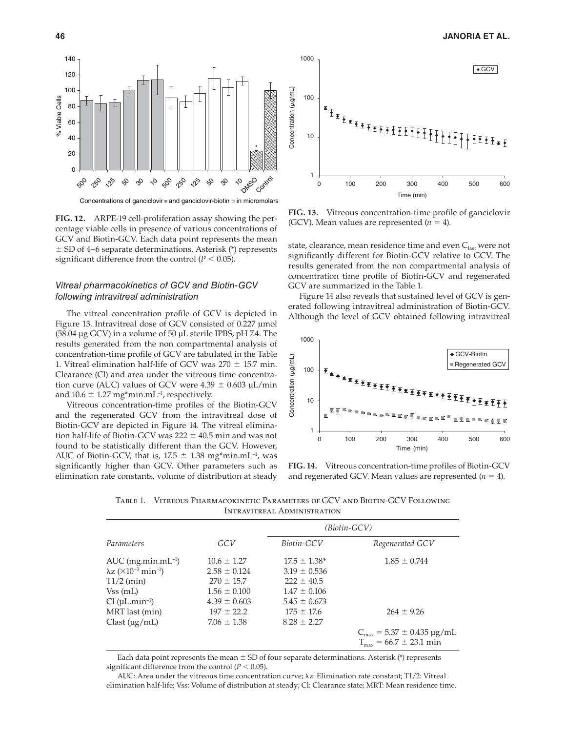

**FIG. 12.** ARPE-19 cell-proliferation assay showing the percentage viable cells in presence of various concentrations of GCV and Biotin-GCV. Each data point represents the mean  $\pm$  SD of 4–6 separate determinations. Asterisk (\*) represents significant difference from the control ( $P < 0.05$ ).

# Vitreal pharmacokinetics of GCV and Biotin-GCV following intravitreal administration

The vitreal concentration profile of GCV is depicted in Figure 13. Intravitreal dose of GCV consisted of 0.227 μmol (58.04 μg GCV) in a volume of 50 μL sterile IPBS, pH 7.4. The results generated from the non compartmental analysis of concentration-time profile of GCV are tabulated in the Table 1. Vitreal elimination half-life of GCV was  $270 \pm 15.7$  min. Clearance (Cl) and area under the vitreous time concentration curve (AUC) values of GCV were  $4.39 \pm 0.603 \,\mu L/min$ and  $10.6 \pm 1.27$  mg\*min.mL<sup>-1</sup>, respectively.

Vitreous concentration-time profiles of the Biotin-GCV and the regenerated GCV from the intravitreal dose of Biotin-GCV are depicted in Figure 14. The vitreal elimination half-life of Biotin-GCV was  $222 \pm 40.5$  min and was not found to be statistically different than the GCV. However, AUC of Biotin-GCV, that is,  $17.5 \pm 1.38$  mg\*min.mL<sup>-1</sup>, was significantly higher than GCV. Other parameters such as elimination rate constants, volume of distribution at steady



FIG. 13. Vitreous concentration-time profile of ganciclovir (GCV). Mean values are represented  $(n = 4)$ .

state, clearance, mean residence time and even  $C_{\text{last}}$  were not significantly different for Biotin-GCV relative to GCV. The results generated from the non compartmental analysis of concentration time profile of Biotin-GCV and regenerated GCV are summarized in the Table 1.

Figure 14 also reveals that sustained level of GCV is generated following intravitreal administration of Biotin-GCV. Although the level of GCV obtained following intravitreal



FIG. 14. Vitreous concentration-time profiles of Biotin-GCV and regenerated GCV. Mean values are represented (*n* = 4).

| Table 1.     Vitreous Pharmacokinetic Parameters of GCV and Biotin-GCV Following |
|----------------------------------------------------------------------------------|
| INTRAVITREAL ADMINISTRATION                                                      |
|                                                                                  |

|                                           |                  | $(Biotin-GCV)$    |                                              |
|-------------------------------------------|------------------|-------------------|----------------------------------------------|
| Parameters                                | GCV              | Biotin-GCV        | Regenerated GCV                              |
| AUC $(mg.min.mL^{-1})$                    | $10.6 \pm 1.27$  | $17.5 \pm 1.38^*$ | $1.85 \pm 0.744$                             |
| λz ( $\times 10^{-3}$ min <sup>-1</sup> ) | $2.58 \pm 0.124$ | $3.19 \pm 0.536$  |                                              |
| $T1/2$ (min)                              | $270 \pm 15.7$   | $222 \pm 40.5$    |                                              |
| Vss (mL)                                  | $1.56 \pm 0.100$ | $1.47 \pm 0.106$  |                                              |
| $Cl (µL.min-1)$                           | $4.39 \pm 0.603$ | $5.45 \pm 0.673$  |                                              |
| MRT last (min)                            | $197 \pm 22.2$   | $175 \pm 17.6$    | $264 \pm 9.26$                               |
| Clast (µg/mL)                             | $7.06 \pm 1.38$  | $8.28 \pm 2.27$   |                                              |
|                                           |                  |                   | $C_{\text{max}} = 5.37 \pm 0.435 \,\mu g/mL$ |
|                                           |                  |                   | $T_{\text{max}} = 66.7 \pm 23.1 \text{ min}$ |
|                                           |                  |                   |                                              |

Each data point represents the mean  $\pm$  SD of four separate determinations. Asterisk (\*) represents significant difference from the control ( $P < 0.05$ ).

AUC: Area under the vitreous time concentration curve; λz: Elimination rate constant; T1/2: Vitreal elimination half-life; Vss: Volume of distribution at steady; Cl: Clearance state; MRT: Mean residence time.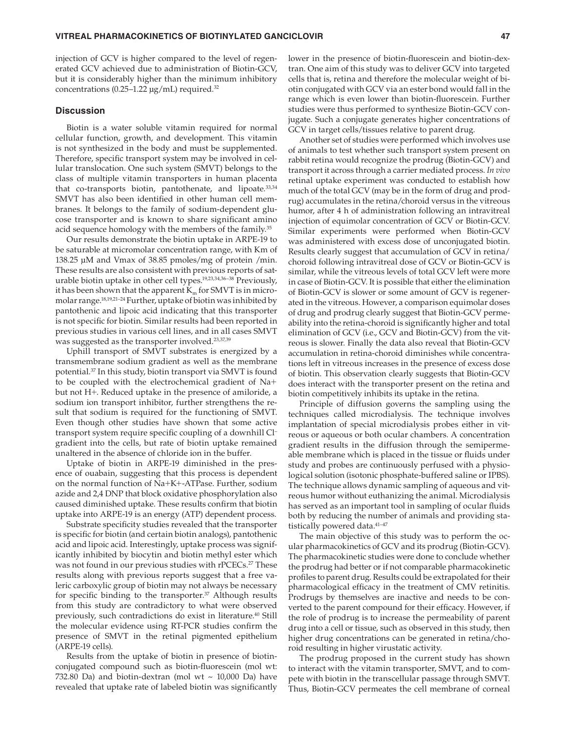injection of GCV is higher compared to the level of regenerated GCV achieved due to administration of Biotin-GCV, but it is considerably higher than the minimum inhibitory concentrations (0.25–1.22 μg/mL) required.<sup>32</sup>

#### **Discussion**

Biotin is a water soluble vitamin required for normal cellular function, growth, and development. This vitamin is not synthesized in the body and must be supplemented. Therefore, specific transport system may be involved in cellular translocation. One such system (SMVT) belongs to the class of multiple vitamin transporters in human placenta that co-transports biotin, pantothenate, and lipoate.<sup>33,34</sup> SMVT has also been identified in other human cell membranes. It belongs to the family of sodium-dependent glucose transporter and is known to share significant amino acid sequence homology with the members of the family.<sup>35</sup>

Our results demonstrate the biotin uptake in ARPE-19 to be saturable at micromolar concentration range, with Km of 138.25 μM and Vmax of 38.85 pmoles/mg of protein /min. These results are also consistent with previous reports of saturable biotin uptake in other cell types.19,23,34,36–38 Previously, it has been shown that the apparent  $K<sub>m</sub>$  for SMVT is in micromolar range.18,19,21–24 Further, uptake of biotin was inhibited by pantothenic and lipoic acid indicating that this transporter is not specific for biotin. Similar results had been reported in previous studies in various cell lines, and in all cases SMVT was suggested as the transporter involved.<sup>23,37,39</sup>

Uphill transport of SMVT substrates is energized by a transmembrane sodium gradient as well as the membrane potential.<sup>37</sup> In this study, biotin transport via SMVT is found to be coupled with the electrochemical gradient of Na+ but not H+. Reduced uptake in the presence of amiloride, a sodium ion transport inhibitor, further strengthens the result that sodium is required for the functioning of SMVT. Even though other studies have shown that some active transport system require specific coupling of a downhill Clgradient into the cells, but rate of biotin uptake remained unaltered in the absence of chloride ion in the buffer.

Uptake of biotin in ARPE-19 diminished in the presence of ouabain, suggesting that this process is dependent on the normal function of Na+K+-ATPase. Further, sodium azide and 2,4 DNP that block oxidative phosphorylation also caused diminished uptake. These results confirm that biotin uptake into ARPE-19 is an energy (ATP) dependent process.

Substrate specificity studies revealed that the transporter is specific for biotin (and certain biotin analogs), pantothenic acid and lipoic acid. Interestingly, uptake process was significantly inhibited by biocytin and biotin methyl ester which was not found in our previous studies with rPCECs.<sup>27</sup> These results along with previous reports suggest that a free valeric carboxylic group of biotin may not always be necessary for specific binding to the transporter. $37$  Although results from this study are contradictory to what were observed previously, such contradictions do exist in literature.<sup>40</sup> Still the molecular evidence using RT-PCR studies confirm the presence of SMVT in the retinal pigmented epithelium (ARPE-19 cells).

Results from the uptake of biotin in presence of biotinconjugated compound such as biotin-fluorescein (mol wt: 732.80 Da) and biotin-dextran (mol wt  $\sim$  10,000 Da) have revealed that uptake rate of labeled biotin was significantly lower in the presence of biotin-fluorescein and biotin-dextran. One aim of this study was to deliver GCV into targeted cells that is, retina and therefore the molecular weight of biotin conjugated with GCV via an ester bond would fall in the range which is even lower than biotin-fluorescein. Further studies were thus performed to synthesize Biotin-GCV conjugate. Such a conjugate generates higher concentrations of GCV in target cells/tissues relative to parent drug.

Another set of studies were performed which involves use of animals to test whether such transport system present on rabbit retina would recognize the prodrug (Biotin-GCV) and transport it across through a carrier mediated process. *In vivo* retinal uptake experiment was conducted to establish how much of the total GCV (may be in the form of drug and prodrug) accumulates in the retina/choroid versus in the vitreous humor, after 4 h of administration following an intravitreal injection of equimolar concentration of GCV or Biotin-GCV. Similar experiments were performed when Biotin-GCV was administered with excess dose of unconjugated biotin. Results clearly suggest that accumulation of GCV in retina/ choroid following intravitreal dose of GCV or Biotin-GCV is similar, while the vitreous levels of total GCV left were more in case of Biotin-GCV. It is possible that either the elimination of Biotin-GCV is slower or some amount of GCV is regenerated in the vitreous. However, a comparison equimolar doses of drug and prodrug clearly suggest that Biotin-GCV permeability into the retina-choroid is significantly higher and total elimination of GCV (i.e., GCV and Biotin-GCV) from the vitreous is slower. Finally the data also reveal that Biotin-GCV accumulation in retina-choroid diminishes while concentrations left in vitreous increases in the presence of excess dose of biotin. This observation clearly suggests that Biotin-GCV does interact with the transporter present on the retina and biotin competitively inhibits its uptake in the retina.

Principle of diffusion governs the sampling using the techniques called microdialysis. The technique involves implantation of special microdialysis probes either in vitreous or aqueous or both ocular chambers. A concentration gradient results in the diffusion through the semipermeable membrane which is placed in the tissue or fluids under study and probes are continuously perfused with a physiological solution (isotonic phosphate-buffered saline or IPBS). The technique allows dynamic sampling of aqueous and vitreous humor without euthanizing the animal. Microdialysis has served as an important tool in sampling of ocular fluids both by reducing the number of animals and providing statistically powered data.<sup>41-47</sup>

The main objective of this study was to perform the ocular pharmacokinetics of GCV and its prodrug (Biotin-GCV). The pharmacokinetic studies were done to conclude whether the prodrug had better or if not comparable pharmacokinetic profiles to parent drug. Results could be extrapolated for their pharmacological efficacy in the treatment of CMV retinitis. Prodrugs by themselves are inactive and needs to be converted to the parent compound for their efficacy. However, if the role of prodrug is to increase the permeability of parent drug into a cell or tissue, such as observed in this study, then higher drug concentrations can be generated in retina/choroid resulting in higher virustatic activity.

The prodrug proposed in the current study has shown to interact with the vitamin transporter, SMVT, and to compete with biotin in the transcellular passage through SMVT. Thus, Biotin-GCV permeates the cell membrane of corneal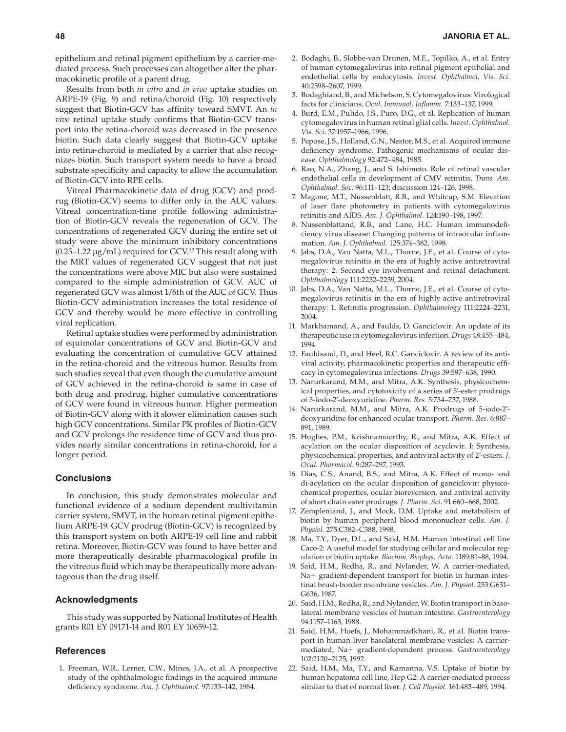epithelium and retinal pigment epithelium by a carrier-mediated process. Such processes can altogether alter the pharmacokinetic profile of a parent drug.

Results from both *in vitro* and *in vivo* uptake studies on ARPE-19 (Fig. 9) and retina/choroid (Fig. 10) respectively suggest that Biotin-GCV has affinity toward SMVT. An *in vivo* retinal uptake study confirms that Biotin-GCV transport into the retina-choroid was decreased in the presence biotin. Such data clearly suggest that Biotin-GCV uptake into retina-choroid is mediated by a carrier that also recognizes biotin. Such transport system needs to have a broad substrate specificity and capacity to allow the accumulation of Biotin-GCV into RPE cells.

Vitreal Pharmacokinetic data of drug (GCV) and prodrug (Biotin-GCV) seems to differ only in the AUC values. Vitreal concentration-time profile following administration of Biotin-GCV reveals the regeneration of GCV. The concentrations of regenerated GCV during the entire set of study were above the minimum inhibitory concentrations  $(0.25-1.22 \,\mu g/mL)$  required for GCV.<sup>32</sup> This result along with the MRT values of regenerated GCV suggest that not just the concentrations were above MIC but also were sustained compared to the simple administration of GCV. AUC of regenerated GCV was almost 1/6th of the AUC of GCV. Thus Biotin-GCV administration increases the total residence of GCV and thereby would be more effective in controlling viral replication.

Retinal uptake studies were performed by administration of equimolar concentrations of GCV and Biotin-GCV and evaluating the concentration of cumulative GCV attained in the retina-choroid and the vitreous humor. Results from such studies reveal that even though the cumulative amount of GCV achieved in the retina-choroid is same in case of both drug and prodrug, higher cumulative concentrations of GCV were found in vitreous humor. Higher permeation of Biotin-GCV along with it slower elimination causes such high GCV concentrations. Similar PK profiles of Biotin-GCV and GCV prolongs the residence time of GCV and thus provides nearly similar concentrations in retina-choroid, for a longer period.

## **Conclusions**

In conclusion, this study demonstrates molecular and functional evidence of a sodium dependent multivitamin carrier system, SMVT, in the human retinal pigment epithelium ARPE-19. GCV prodrug (Biotin-GCV) is recognized by this transport system on both ARPE-19 cell line and rabbit retina. Moreover, Biotin-GCV was found to have better and more therapeutically desirable pharmacological profile in the vitreous fluid which may be therapeutically more advantageous than the drug itself.

## **Acknowledgments**

This study was supported by National Institutes of Health grants R01 EY 09171-14 and R01 EY 10659-12.

## **References**

 1. Freeman, W.R., Lerner, C.W., Mines, J.A., et al. A prospective study of the ophthalmologic findings in the acquired immune deficiency syndrome. Am. J. Ophthalmol. 97:133-142, 1984.

- 2. Bodaghi, B., Slobbe-van Drunen, M.E., Topilko, A., et al. Entry of human cytomegalovirus into retinal pigment epithelial and endothelial cells by endocytosis. *Invest. Ophthalmol. Vis. Sci.* 40:2598–2607, 1999.
- 3. Bodaghiand, B., and Michelson, S. Cytomegalovirus: Virological facts for clinicians. Ocul. Immunol. Inflamm. 7:133-137, 1999.
- 4. Burd, E.M., Pulido, J.S., Puro, D.G., et al. Replication of human cytomegalovirus in human retinal glial cells. *Invest. Ophthalmol. Vis. Sci.* 37:1957–1966, 1996.
- 5. Pepose, J.S., Holland, G.N., Nestor, M.S., et al. Acquired immune deficiency syndrome. Pathogenic mechanisms of ocular disease. *Ophthalmology* 92:472–484, 1985.
- 6. Rao, N.A., Zhang, J., and S. Ishimoto. Role of retinal vascular endothelial cells in development of CMV retinitis. *Trans. Am. Ophthalmol. Soc.* 96:111–123; discussion 124–126, 1998.
- 7. Magone, M.T., Nussenblatt, R.B., and Whitcup, S.M. Elevation of laser flare photometry in patients with cytomegalovirus retinitis and AIDS. *Am. J. Ophthalmol.* 124:190–198, 1997.
- 8. Nussenblattand, R.B., and Lane, H.C. Human immunodeficiency virus disease: Changing patterns of intraocular inflammation. *Am. J. Ophthalmol.* 125:374–382, 1998.
- 9. Jabs, D.A., Van Natta, M.L., Thorne, J.E., et al. Course of cytomegalovirus retinitis in the era of highly active antiretroviral therapy: 2. Second eye involvement and retinal detachment. *Ophthalmology* 111:2232–2239, 2004.
- 10. Jabs, D.A., Van Natta, M.L., Thorne, J.E., et al. Course of cytomegalovirus retinitis in the era of highly active antiretroviral therapy: 1. Retinitis progression. *Ophthalmology* 111:2224–2231, 2004.
- 11. Markhamand, A., and Faulds, D. Ganciclovir. An update of its therapeutic use in cytomegalovirus infection. *Drugs* 48:455–484, 1994.
- 12. Fauldsand, D., and Heel, R.C. Ganciclovir. A review of its antiviral activity, pharmacokinetic properties and therapeutic efficacy in cytomegalovirus infections. *Drugs* 39:597–638, 1990.
- 13. Narurkarand, M.M., and Mitra, A.K. Synthesis, physicochemical properties, and cytotoxicity of a series of 5'-ester prodrugs of 5-iodo-2'-deoxyuridine. *Pharm. Res.* 5:734–737, 1988.
- 14. Narurkarand, M.M., and Mitra, A.K. Prodrugs of 5-iodo-2' deoxyuridine for enhanced ocular transport. *Pharm. Res.* 6:887– 891, 1989.
- 15. Hughes, P.M., Krishnamoorthy, R., and Mitra, A.K. Effect of acylation on the ocular disposition of acyclovir. I: Synthesis, physicochemical properties, and antiviral activity of 2'-esters. *J. Ocul. Pharmacol.* 9:287–297, 1993.
- 16. Dias, C.S., Anand, B.S., and Mitra, A.K. Effect of mono- and di-acylation on the ocular disposition of ganciclovir: physicochemical properties, ocular bioreversion, and antiviral activity of short chain ester prodrugs. *J. Pharm. Sci.* 91:660–668, 2002.
- 17. Zempleniand, J., and Mock, D.M. Uptake and metabolism of biotin by human peripheral blood mononuclear cells. *Am. J. Physiol.* 275:C382–C388, 1998.
- 18. Ma, T.Y., Dyer, D.L., and Said, H.M. Human intestinal cell line Caco-2: A useful model for studying cellular and molecular regulation of biotin uptake. *Biochim. Biophys. Acta.* 1189:81–88, 1994.
- 19. Said, H.M., Redha, R., and Nylander, W. A carrier-mediated, Na+ gradient-dependent transport for biotin in human intestinal brush-border membrane vesicles. *Am. J. Physiol.* 253:G631– G636, 1987.
- 20. Said, H.M., Redha, R., and Nylander, W. Biotin transport in basolateral membrane vesicles of human intestine. *Gastroenterology* 94:1157–1163, 1988.
- 21. Said, H.M., Hoefs, J., Mohammadkhani, R., et al. Biotin transport in human liver basolateral membrane vesicles: A carriermediated, Na+ gradient-dependent process. *Gastroenterology* 102:2120–2125, 1992.
- 22. Said, H.M., Ma, T.Y., and Kamanna, V.S. Uptake of biotin by human hepatoma cell line, Hep G2: A carrier-mediated process similar to that of normal liver. *J. Cell Physiol.* 161:483–489, 1994.